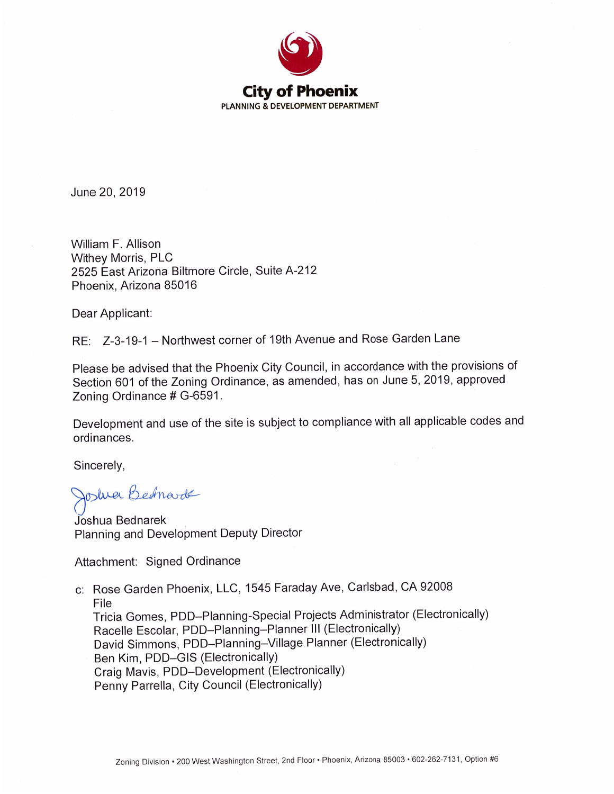

June 20, 2019

William F. Allison Withey Morris, PLC 2525 East Arizona Biltmore Circle, Suite A-212 Phoenix, Arizona 85016

Dear Applicant:

RE: Z-3-19-1 - Northwest corner of 19th Avenue and Rose Garden Lane

Please be advised that the Phoenix City Council, in accordance with the provisions of Section 601 of the Zoning Ordinance, as amended, has on June 5, 2019, approved Zoning Ordinance # G-6591.

Development and use of the site is subject to compliance with all applicable codes and ordinances.

Sincerely,

Joshua Bednarde

Joshua Bednarek Planning and Development Deputy Director

Attachment: Signed Ordinance

c: Rose Garden Phoenix, LLC, 1545 Faraday Ave, Carlsbad, CA 92008 File Tricia Gomes, PDD-Planning-Special Projects Administrator (Electronically) Racelle Escolar, PDD-Planning-Planner III (Electronically) David Simmons, PDD-Planning-Village Planner (Electronically) Ben Kim, PDD-GIS (Electronically) Craig Mavis, PDD-Development (Electronically) Penny Parrella, City Council (Electronically)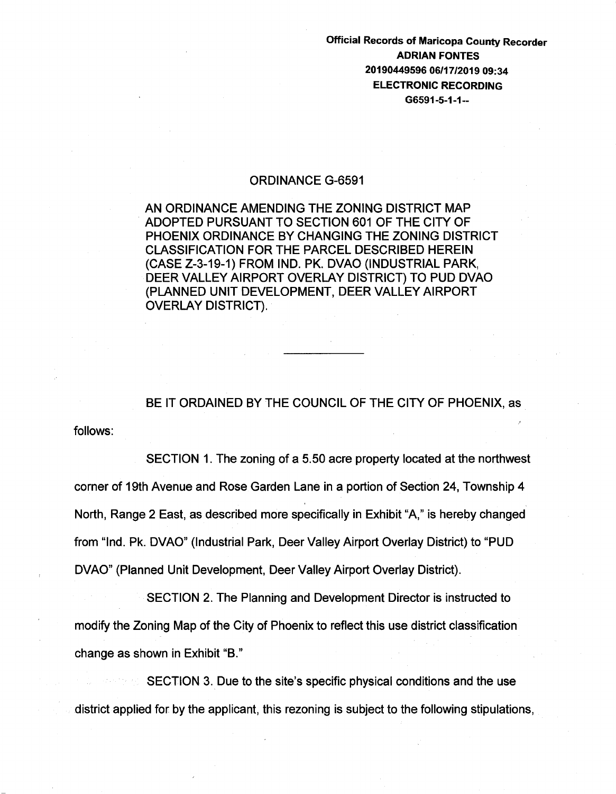Official Records of Maricopa County Recorder ADRIAN FONTES 20190449596 06/17/2019 09:34 ELECTRONIC RECORDING G6591-5-1-1--

## ORDINANCE G-6591

AN ORDINANCE AMENDING THE ZONING DISTRICT MAP ADOPTED PURSUANT TO SECTION 601 OF THE CITY OF PHOENIX ORDINANCE BY CHANGING THE ZONING DISTRICT CLASSIFICATION FOR THE PARCEL DESCRIBED HEREIN (CASE Z-3-19-1) FROM IND. PK. DVAO {INDUSTRIAL PARK, DEER VALLEY AIRPORT OVERLAY DISTRICT) TO PUD DVAO (PLANNED UNIT DEVELOPMENT, DEER VALLEY AIRPORT OVERLAY DISTRICT).

## BE IT ORDAINED BY THE COUNCIL OF THE CITY OF PHOENIX, as

follows:

SECTION 1. The zoning of a 5.50 acre property located at the northwest corner of 19th Avenue and Rose Garden Lane in a portion of Section 24, Township 4 North, Range 2 East, as described more specifically in Exhibit "A," is hereby changed from "Ind. Pk. DVAO" (Industrial Park, Deer Valley Airport Overlay District) to "PUD DVAO" (Planned Unit Development, Deer Valley Airport Overlay District).

SECTION 2. The Planning and Development Director is instructed to modify the Zoning Map of the City of Phoenix to reflect this use district classification change as shown in Exhibit "B."

SECTION 3. Due to the site's specific physical conditions and the use district applied for by the applicant, this rezoning is subject to the following stipulations,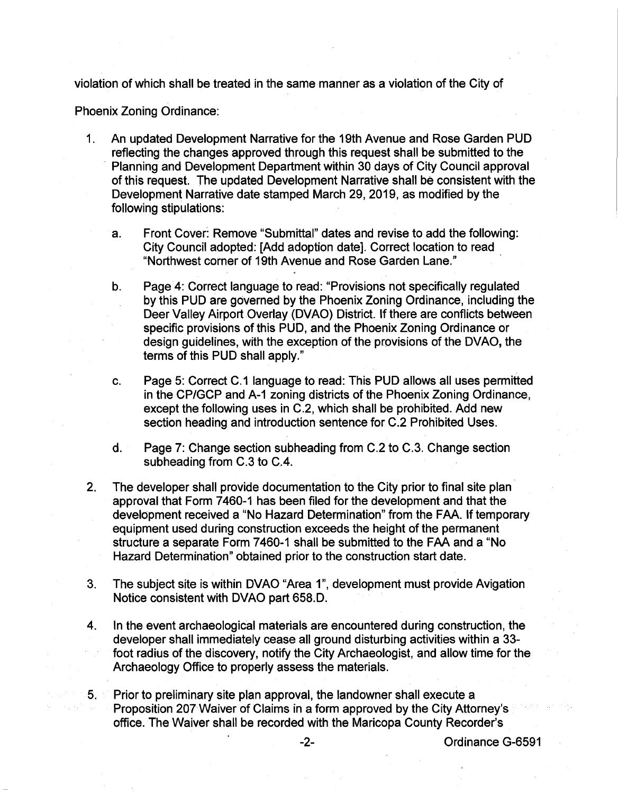violation of which shall be treated in the same manner as a violation of the City of

Phoenix Zoning Ordinance:

- 1. An updated Development Narrative for the 19th Avenue and Rose Garden PUD reflecting the changes approved through this request shall be submitted to the Planning and Development Department within 30 days of City Council approval of this request. The updated Development Narrative shall be consistent with the Development Narrative date stamped March 29, 2019, as modified by the following stipulations:
	- a. Front Cover: Remove "Submittal" dates and revise to add the following: City Council adopted: [Add adoption date]. Correct location to read "Northwest corner of 19th Avenue and Rose Garden Lane."
	- b. Page 4: Correct language to read: "Provisions not specifically regulated by this PUD are governed by the Phoenix Zoning Ordinance, including the Deer Valley Airport Overlay (DVAO) District. If there are conflicts between specific provisions of this PUD, and the Phoenix Zoning Ordinance or design guidelines, with the exception of the provisions of the DVAO, the terms of this PUD shall apply."
	- c. Page 5: Correct C.1 language to read: This PUD allows all uses permitted in the CP/GCP and A-1 zoning districts of the Phoenix Zoning Ordinance, except the following uses in C.2, which shall be prohibited. Add new section heading and introduction sentence for C.2 Prohibited Uses.
	- d. Page 7: Change section subheading from C.2 to C.3. Change section subheading from C.3 to C.4.
- 2. The developer shall provide documentation to the City prior to final site plan approval that Form 7460-1 has been filed for the development and that the development received a "No Hazard Determination" from the FAA. If temporary equipment used during construction exceeds the height of the permanent structure a separate Form 7460-1 shall be submitted to the FAA and a "No Hazard Determination" obtained prior to the construction start date.
- 3. The subject site is within DVAO "Area 1", development must provide Avigation Notice consistent with DVAO part 658.D.
- 4. In the event archaeological materials are encountered during construction, the developer shall immediately cease all ground disturbing activities within a 33 foot radius of the discovery, notify the City Archaeologist, and allow time for the Archaeology Office to properly assess the materials.
- 5. Prior to preliminary site plan approval, the landowner shall execute a Proposition 207Waiver of Claims in a form approved by the City Attorney's office. The Waiver shall be recorded with the Maricopa County Recorder's

-2- Ordinance G-6591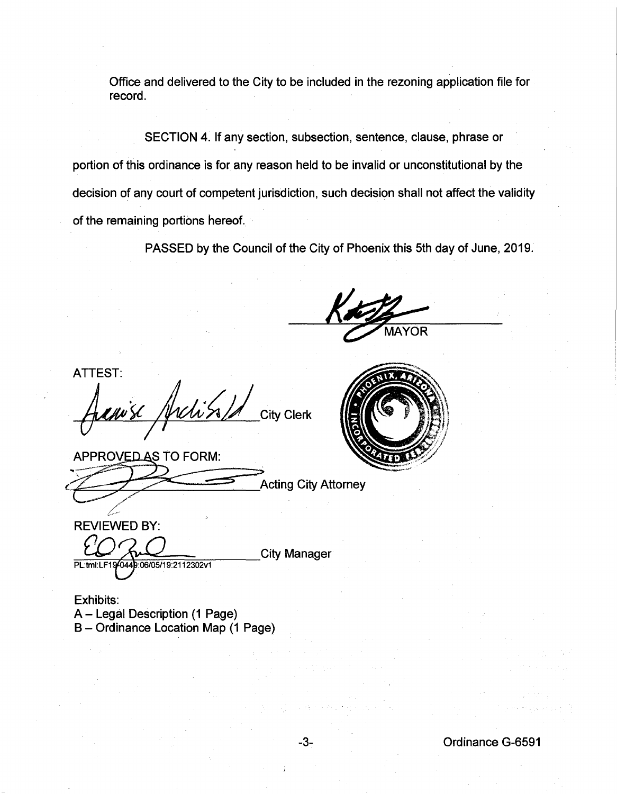Office and delivered to the City to be included in the rezoning application file for record.

SECTION 4. If any section, subsection, sentence, clause, phrase or portion of this ordinance is for any reason held to be invalid or unconstitutional by the decision of any court of competent jurisdiction, such decision shall not affect the validity of the remaining portions hereof.

PASSED by the Council of the City of Phoenix this 5th day of June, 2019.

ATTEST: Hellus / protess / A City Clerk

APPROVED AS TO FORM: APPROVED AS TO FORM:<br>
Acting City Attorney .....



**REVIEWED BY:** PL:tml:LF1940449:06/05/19:2112302v1

J' \_.-

**City Manager** 

**Acting City Attorney** 

Exhibits: A- Legal Description (1 Page) B- Ordinance Location Map (1 Page)

-3- Ordinance G-6591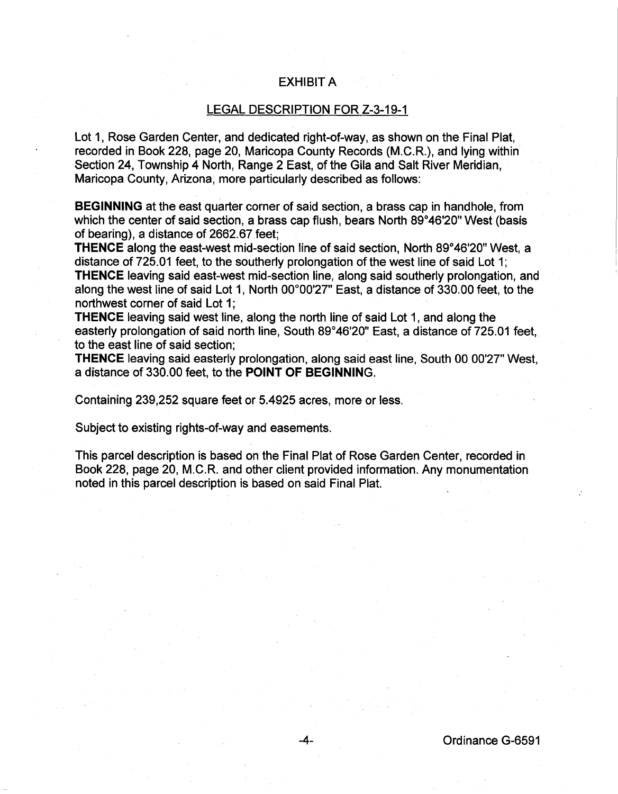## EXHIBIT A

## LEGAL DESCRIPTION FOR Z-3-19-1

Lot 1, Rose Garden Center, and dedicated right-of-way, as shown on the Final Plat, recorded in Book 228, page 20, Maricopa County Records (M.C.R.), and lying within Section 24, Township 4 North, Range 2 East, of the Gila and Salt River Meridian, Maricopa County, Arizona, more particularly described as follows:

**BEGINNING** at the east quarter corner of said section, a brass cap in handhole, from which the center of said section, a brass cap flush, bears North 89°46'20" West (basis of bearing), a distance of 2662.67 feet;

**THENCE** along the east-west mid-section line of said section, North 89°46'20" West, a distance of 725.01 feet, to the southerly prolongation of the west line of said Lot 1; **THENCE** leaving said east-west mid-section line, along said southerly prolongation, and along the west line of said Lot 1, North 00°00'27" East, a distance of 330.00 feet, to the northwest corner of said Lot 1:

**THENCE** leaving said west line, along the north line of said Lot 1, and along the easterly prolongation of said north line, South 89°46'20" East, a distance of 725.01 feet, to the east line of said section;

**THENCE** leaving said easterly prolongation, along said east line, South 00 00'27" West, a distance of 330.00 feet, to the **POINT OF BEGINNING.** 

Containing 239,252 square feet or 5.4925 acres, more or less.

Subject to existing rights-of-way and easements.

This parcel description is based on the Final Plat of Rose Garden Center, recorded in Book 228, page 20, M.C.R. and other client provided information. Any monumentation noted in this parcel description is based on said Final Plat.